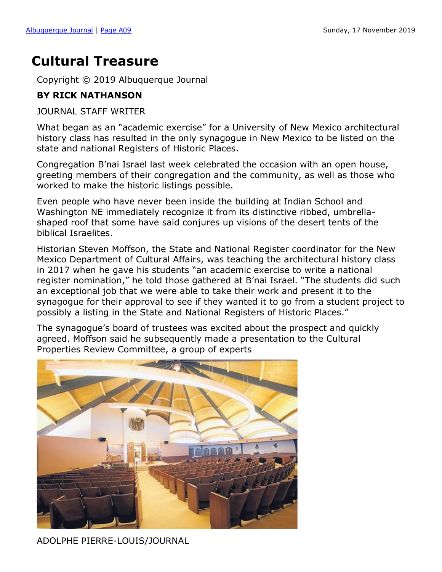## **Cultural Treasure**

Copyright © 2019 Albuquerque Journal

## **BY RICK NATHANSON**

JOURNAL STAFF WRITER

What began as an "academic exercise" for a University of New Mexico architectural history class has resulted in the only synagogue in New Mexico to be listed on the state and national Registers of Historic Places.

Congregation B'nai Israel last week celebrated the occasion with an open house, greeting members of their congregation and the community, as well as those who worked to make the historic listings possible.

Even people who have never been inside the building at Indian School and Washington NE immediately recognize it from its distinctive ribbed, umbrellashaped roof that some have said conjures up visions of the desert tents of the biblical Israelites.

Historian Steven Moffson, the State and National Register coordinator for the New Mexico Department of Cultural Affairs, was teaching the architectural history class in 2017 when he gave his students "an academic exercise to write a national register nomination," he told those gathered at B'nai Israel. "The students did such an exceptional job that we were able to take their work and present it to the synagogue for their approval to see if they wanted it to go from a student project to possibly a listing in the State and National Registers of Historic Places."

The synagogue's board of trustees was excited about the prospect and quickly agreed. Moffson said he subsequently made a presentation to the Cultural Properties Review Committee, a group of experts



ADOLPHE PIERRE-LOUIS/JOURNAL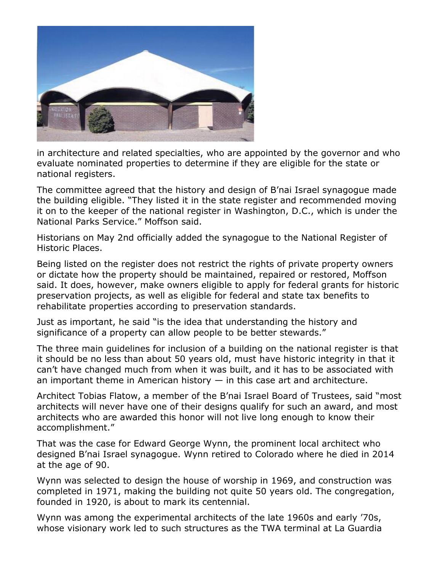

in architecture and related specialties, who are appointed by the governor and who evaluate nominated properties to determine if they are eligible for the state or national registers.

The committee agreed that the history and design of B'nai Israel synagogue made the building eligible. "They listed it in the state register and recommended moving it on to the keeper of the national register in Washington, D.C., which is under the National Parks Service." Moffson said.

Historians on May 2nd officially added the synagogue to the National Register of Historic Places.

Being listed on the register does not restrict the rights of private property owners or dictate how the property should be maintained, repaired or restored, Moffson said. It does, however, make owners eligible to apply for federal grants for historic preservation projects, as well as eligible for federal and state tax benefits to rehabilitate properties according to preservation standards.

Just as important, he said "is the idea that understanding the history and significance of a property can allow people to be better stewards."

The three main guidelines for inclusion of a building on the national register is that it should be no less than about 50 years old, must have historic integrity in that it can't have changed much from when it was built, and it has to be associated with an important theme in American history  $-$  in this case art and architecture.

Architect Tobias Flatow, a member of the B'nai Israel Board of Trustees, said "most architects will never have one of their designs qualify for such an award, and most architects who are awarded this honor will not live long enough to know their accomplishment."

That was the case for Edward George Wynn, the prominent local architect who designed B'nai Israel synagogue. Wynn retired to Colorado where he died in 2014 at the age of 90.

Wynn was selected to design the house of worship in 1969, and construction was completed in 1971, making the building not quite 50 years old. The congregation, founded in 1920, is about to mark its centennial.

Wynn was among the experimental architects of the late 1960s and early '70s, whose visionary work led to such structures as the TWA terminal at La Guardia